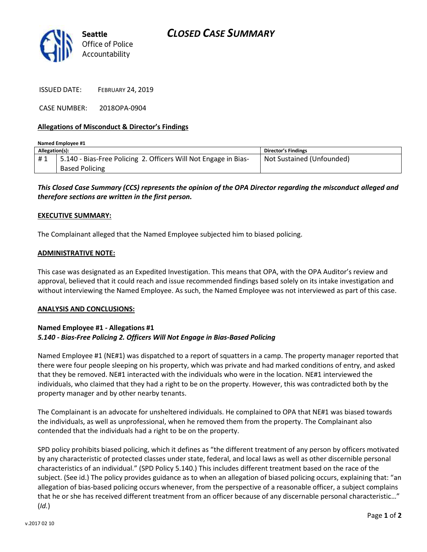

ISSUED DATE: FEBRUARY 24, 2019

CASE NUMBER: 2018OPA-0904

## **Allegations of Misconduct & Director's Findings**

| Named Emplovee #1 |                                                                 |                           |
|-------------------|-----------------------------------------------------------------|---------------------------|
| Allegation(s):    |                                                                 | Director's Findings       |
| #1                | 5.140 - Bias-Free Policing 2. Officers Will Not Engage in Bias- | Not Sustained (Unfounded) |
|                   | <b>Based Policing</b>                                           |                           |

*This Closed Case Summary (CCS) represents the opinion of the OPA Director regarding the misconduct alleged and therefore sections are written in the first person.* 

### **EXECUTIVE SUMMARY:**

The Complainant alleged that the Named Employee subjected him to biased policing.

### **ADMINISTRATIVE NOTE:**

This case was designated as an Expedited Investigation. This means that OPA, with the OPA Auditor's review and approval, believed that it could reach and issue recommended findings based solely on its intake investigation and without interviewing the Named Employee. As such, the Named Employee was not interviewed as part of this case.

### **ANALYSIS AND CONCLUSIONS:**

# **Named Employee #1 - Allegations #1** *5.140 - Bias-Free Policing 2. Officers Will Not Engage in Bias-Based Policing*

Named Employee #1 (NE#1) was dispatched to a report of squatters in a camp. The property manager reported that there were four people sleeping on his property, which was private and had marked conditions of entry, and asked that they be removed. NE#1 interacted with the individuals who were in the location. NE#1 interviewed the individuals, who claimed that they had a right to be on the property. However, this was contradicted both by the property manager and by other nearby tenants.

The Complainant is an advocate for unsheltered individuals. He complained to OPA that NE#1 was biased towards the individuals, as well as unprofessional, when he removed them from the property. The Complainant also contended that the individuals had a right to be on the property.

SPD policy prohibits biased policing, which it defines as "the different treatment of any person by officers motivated by any characteristic of protected classes under state, federal, and local laws as well as other discernible personal characteristics of an individual." (SPD Policy 5.140.) This includes different treatment based on the race of the subject. (See id.) The policy provides guidance as to when an allegation of biased policing occurs, explaining that: "an allegation of bias-based policing occurs whenever, from the perspective of a reasonable officer, a subject complains that he or she has received different treatment from an officer because of any discernable personal characteristic…" (*Id.*)